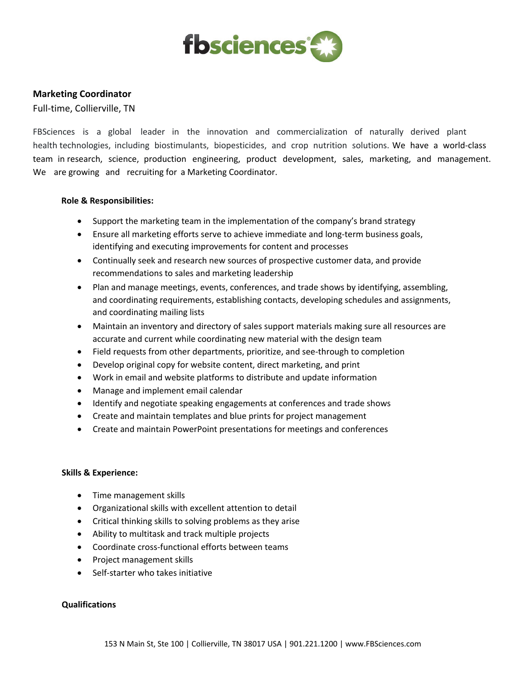

# **Marketing Coordinator**

Full-time, Collierville, TN

FBSciences is a global leader in the innovation and commercialization of naturally derived plant health technologies, including biostimulants, biopesticides, and crop nutrition solutions. We have a world-class team in research, science, production engineering, product development, sales, marketing, and management. We are growing and recruiting for a Marketing Coordinator.

## **Role & Responsibilities:**

- Support the marketing team in the implementation of the company's brand strategy
- Ensure all marketing efforts serve to achieve immediate and long-term business goals, identifying and executing improvements for content and processes
- Continually seek and research new sources of prospective customer data, and provide recommendations to sales and marketing leadership
- Plan and manage meetings, events, conferences, and trade shows by identifying, assembling, and coordinating requirements, establishing contacts, developing schedules and assignments, and coordinating mailing lists
- Maintain an inventory and directory of sales support materials making sure all resources are accurate and current while coordinating new material with the design team
- Field requests from other departments, prioritize, and see-through to completion
- Develop original copy for website content, direct marketing, and print
- Work in email and website platforms to distribute and update information
- Manage and implement email calendar
- Identify and negotiate speaking engagements at conferences and trade shows
- Create and maintain templates and blue prints for project management
- Create and maintain PowerPoint presentations for meetings and conferences

#### **Skills & Experience:**

- Time management skills
- Organizational skills with excellent attention to detail
- Critical thinking skills to solving problems as they arise
- Ability to multitask and track multiple projects
- Coordinate cross-functional efforts between teams
- Project management skills
- Self-starter who takes initiative

#### **Qualifications**